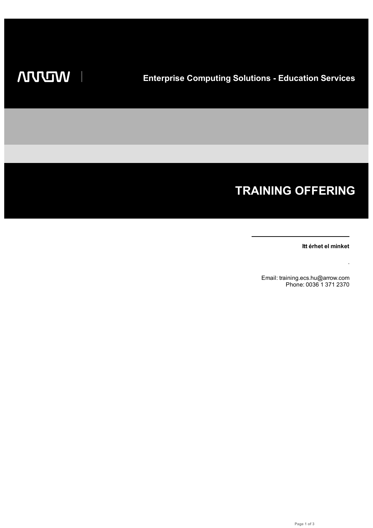I

# **TRAINING OFFERING**

**Itt érhet el minket**

.

Email: training.ecs.hu@arrow.com Phone: 0036 1 371 2370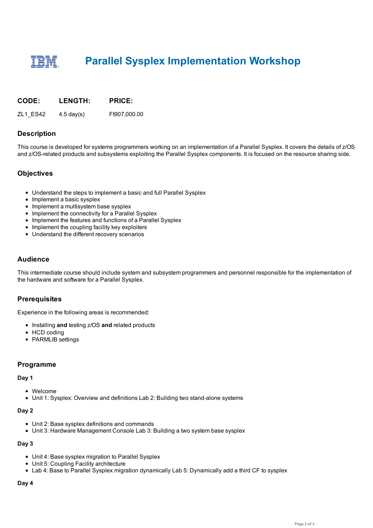# **Parallel Sysplex Implementation Workshop**

#### **CODE: LENGTH: PRICE:**

ZL1\_ES42 4.5 day(s) Ft907,000.00

# **Description**

This course is developed for systems programmers working on an implementation of a Parallel Sysplex. It covers the details of z/OS and z/OS-related products and subsystems exploiting the Parallel Sysplex components. It is focused on the resource sharing side.

### **Objectives**

- Understand the steps to implement a basic and full Parallel Sysplex
- Implement a basic sysplex
- Implement a multisystem base sysplex
- Implement the connectivity for a Parallel Sysplex
- Implement the features and functions of a Parallel Sysplex
- Implement the coupling facility key exploiters
- Understand the different recovery scenarios

# **Audience**

This intermediate course should include system and subsystem programmers and personnel responsible for the implementation of the hardware and software for a Parallel Sysplex.

### **Prerequisites**

Experience in the following areas is recommended:

- Installing and testing z/OS and related products
- HCD coding
- PARMLIB settings

### **Programme**

#### **Day 1**

- Welcome
- Unit 1: Sysplex: Overview and definitions Lab 2: Building two stand-alone systems

#### **Day 2**

- Unit 2: Base sysplex definitions and commands
- Unit 3: Hardware Management Console Lab 3: Building a two system base sysplex

#### **Day 3**

- Unit 4: Base sysplex migration to Parallel Sysplex
- Unit 5: Coupling Facility architecture
- Lab 4: Base to Parallel Sysplex migration dynamically Lab 5: Dynamically add a third CF to sysplex

#### **Day 4**